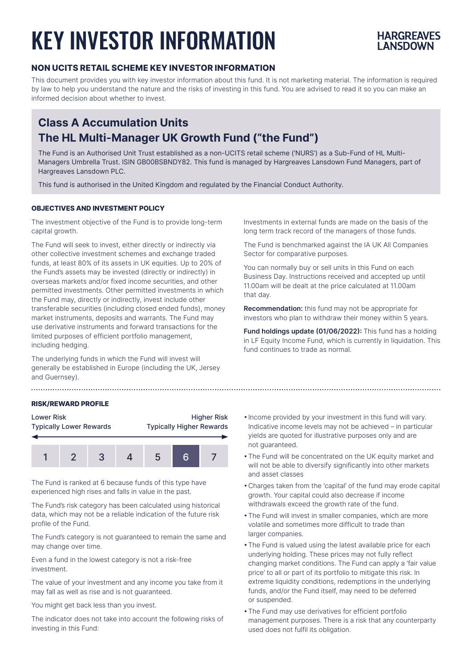# KEY INVESTOR INFORMATION



# **NON UCITS RETAIL SCHEME KEY INVESTOR INFORMATION**

This document provides you with key investor information about this fund. It is not marketing material. The information is required by law to help you understand the nature and the risks of investing in this fund. You are advised to read it so you can make an informed decision about whether to invest.

# **Class A Accumulation Units The HL Multi-Manager UK Growth Fund ("the Fund")**

The Fund is an Authorised Unit Trust established as a non-UCITS retail scheme ('NURS') as a Sub-Fund of HL Multi-Managers Umbrella Trust. ISIN GB00BSBNDY82. This fund is managed by Hargreaves Lansdown Fund Managers, part of Hargreaves Lansdown PLC.

This fund is authorised in the United Kingdom and regulated by the Financial Conduct Authority.

# **OBJECTIVES AND INVESTMENT POLICY**

The investment objective of the Fund is to provide long-term capital growth.

The Fund will seek to invest, either directly or indirectly via other collective investment schemes and exchange traded funds, at least 80% of its assets in UK equities. Up to 20% of the Fund's assets may be invested (directly or indirectly) in overseas markets and/or fixed income securities, and other permitted investments. Other permitted investments in which the Fund may, directly or indirectly, invest include other transferable securities (including closed ended funds), money market instruments, deposits and warrants. The Fund may use derivative instruments and forward transactions for the limited purposes of efficient portfolio management, including hedging.

The underlying funds in which the Fund will invest will generally be established in Europe (including the UK, Jersey and Guernsey).

Investments in external funds are made on the basis of the long term track record of the managers of those funds.

The Fund is benchmarked against the IA UK All Companies Sector for comparative purposes.

You can normally buy or sell units in this Fund on each Business Day. Instructions received and accepted up until 11.00am will be dealt at the price calculated at 11.00am that day.

**Recommendation:** this fund may not be appropriate for investors who plan to withdraw their money within 5 years.

Fund holdings update (01/06/2022): This fund has a holding in LF Equity Income Fund, which is currently in liquidation. This fund continues to trade as normal.

## **RISK/REWARD PROFILE**

| <b>Lower Risk</b>              |  |   |  | <b>Higher Risk</b>              |   |  |  |
|--------------------------------|--|---|--|---------------------------------|---|--|--|
| <b>Typically Lower Rewards</b> |  |   |  | <b>Typically Higher Rewards</b> |   |  |  |
|                                |  | 2 |  | 5                               | ห |  |  |

The Fund is ranked at 6 because funds of this type have experienced high rises and falls in value in the past.

The Fund's risk category has been calculated using historical data, which may not be a reliable indication of the future risk profile of the Fund.

The Fund's category is not guaranteed to remain the same and may change over time.

Even a fund in the lowest category is not a risk-free investment.

The value of your investment and any income you take from it may fall as well as rise and is not guaranteed.

You might get back less than you invest.

The indicator does not take into account the following risks of investing in this Fund:

- Income provided by your investment in this fund will vary. Indicative income levels may not be achieved – in particular yields are quoted for illustrative purposes only and are not guaranteed.
- The Fund will be concentrated on the UK equity market and will not be able to diversify significantly into other markets and asset classes
- Charges taken from the 'capital' of the fund may erode capital growth. Your capital could also decrease if income withdrawals exceed the growth rate of the fund.
- The Fund will invest in smaller companies, which are more volatile and sometimes more difficult to trade than larger companies.
- The Fund is valued using the latest available price for each underlying holding. These prices may not fully reflect changing market conditions. The Fund can apply a 'fair value price' to all or part of its portfolio to mitigate this risk. In extreme liquidity conditions, redemptions in the underlying funds, and/or the Fund itself, may need to be deferred or suspended.
- The Fund may use derivatives for efficient portfolio management purposes. There is a risk that any counterparty used does not fulfil its obligation.